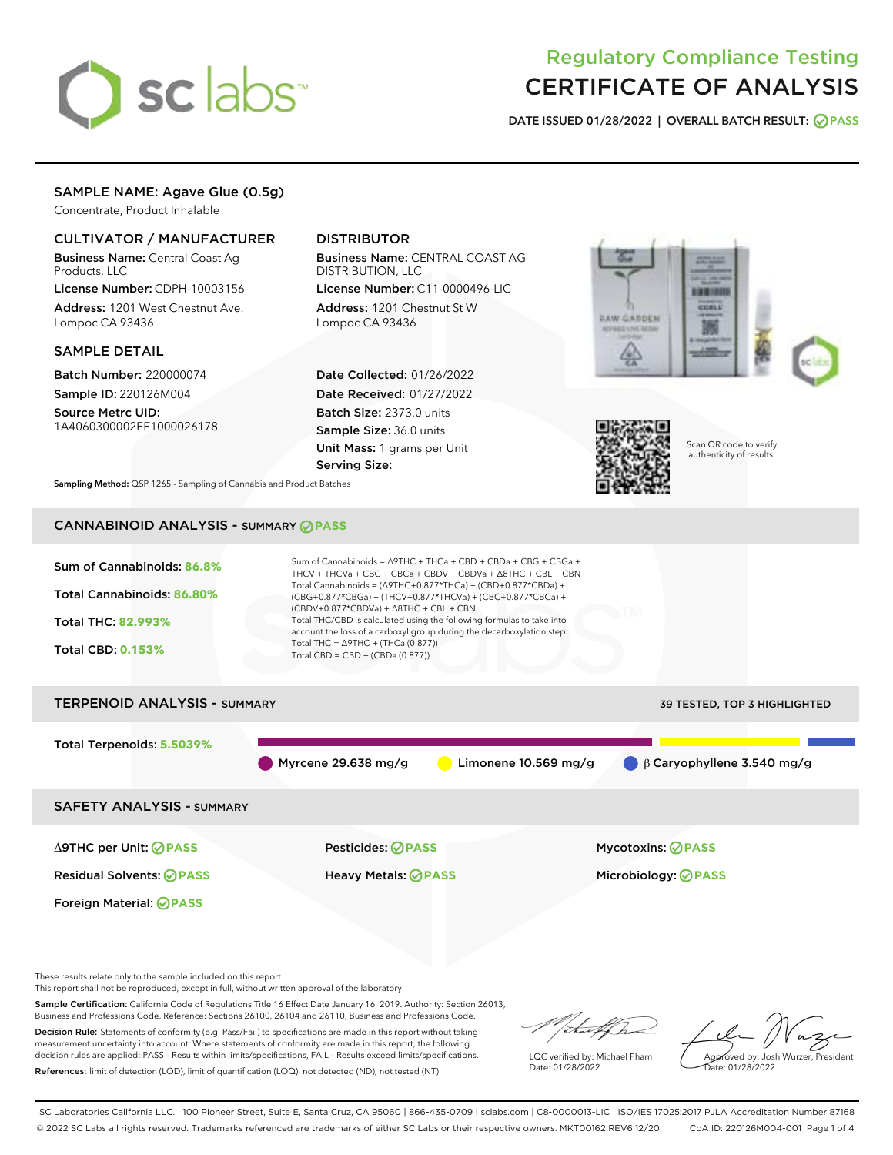# sclabs<sup>\*</sup>

# Regulatory Compliance Testing CERTIFICATE OF ANALYSIS

DATE ISSUED 01/28/2022 | OVERALL BATCH RESULT: @ PASS

# SAMPLE NAME: Agave Glue (0.5g)

Concentrate, Product Inhalable

# CULTIVATOR / MANUFACTURER

Business Name: Central Coast Ag Products, LLC

License Number: CDPH-10003156 Address: 1201 West Chestnut Ave. Lompoc CA 93436

#### SAMPLE DETAIL

Batch Number: 220000074 Sample ID: 220126M004

Source Metrc UID: 1A4060300002EE1000026178

# DISTRIBUTOR

Business Name: CENTRAL COAST AG DISTRIBUTION, LLC

License Number: C11-0000496-LIC Address: 1201 Chestnut St W Lompoc CA 93436

Date Collected: 01/26/2022 Date Received: 01/27/2022 Batch Size: 2373.0 units Sample Size: 36.0 units Unit Mass: 1 grams per Unit Serving Size:





Scan QR code to verify authenticity of results.

Sampling Method: QSP 1265 - Sampling of Cannabis and Product Batches

# CANNABINOID ANALYSIS - SUMMARY **PASS**



Decision Rule: Statements of conformity (e.g. Pass/Fail) to specifications are made in this report without taking measurement uncertainty into account. Where statements of conformity are made in this report, the following decision rules are applied: PASS – Results within limits/specifications, FAIL – Results exceed limits/specifications. References: limit of detection (LOD), limit of quantification (LOQ), not detected (ND), not tested (NT)

LQC verified by: Michael Pham Date: 01/28/2022

Approved by: Josh Wurzer, President ate: 01/28/2022

SC Laboratories California LLC. | 100 Pioneer Street, Suite E, Santa Cruz, CA 95060 | 866-435-0709 | sclabs.com | C8-0000013-LIC | ISO/IES 17025:2017 PJLA Accreditation Number 87168 © 2022 SC Labs all rights reserved. Trademarks referenced are trademarks of either SC Labs or their respective owners. MKT00162 REV6 12/20 CoA ID: 220126M004-001 Page 1 of 4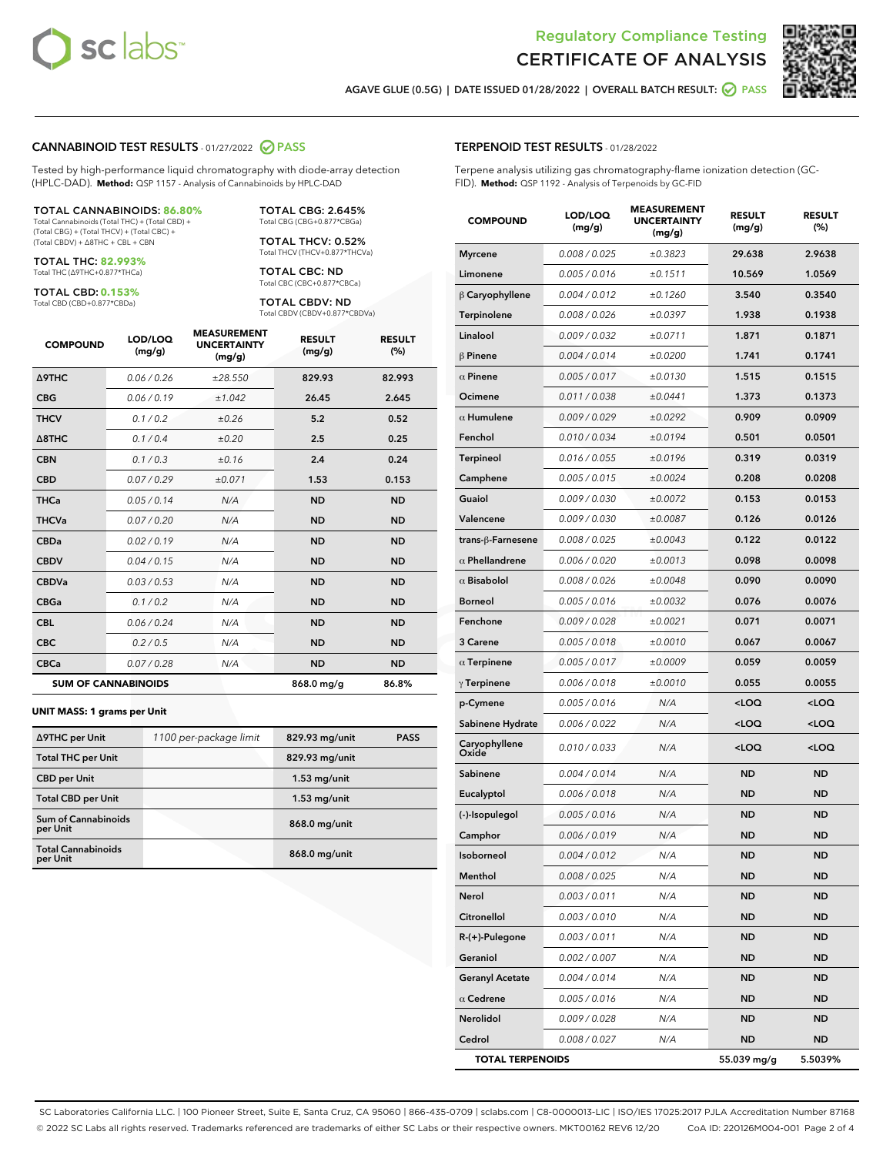



AGAVE GLUE (0.5G) | DATE ISSUED 01/28/2022 | OVERALL BATCH RESULT:  $\bigcirc$  PASS

#### CANNABINOID TEST RESULTS - 01/27/2022 2 PASS

Tested by high-performance liquid chromatography with diode-array detection (HPLC-DAD). **Method:** QSP 1157 - Analysis of Cannabinoids by HPLC-DAD

#### TOTAL CANNABINOIDS: **86.80%**

Total Cannabinoids (Total THC) + (Total CBD) + (Total CBG) + (Total THCV) + (Total CBC) + (Total CBDV) + ∆8THC + CBL + CBN

TOTAL THC: **82.993%** Total THC (∆9THC+0.877\*THCa)

TOTAL CBD: **0.153%**

Total CBD (CBD+0.877\*CBDa)

TOTAL CBG: 2.645% Total CBG (CBG+0.877\*CBGa)

TOTAL THCV: 0.52% Total THCV (THCV+0.877\*THCVa)

TOTAL CBC: ND Total CBC (CBC+0.877\*CBCa)

TOTAL CBDV: ND Total CBDV (CBDV+0.877\*CBDVa)

| <b>COMPOUND</b>  | LOD/LOO<br>(mg/g)          | <b>MEASUREMENT</b><br><b>UNCERTAINTY</b><br>(mg/g) | <b>RESULT</b><br>(mg/g) | <b>RESULT</b><br>(%) |
|------------------|----------------------------|----------------------------------------------------|-------------------------|----------------------|
| <b>A9THC</b>     | 0.06/0.26                  | ±28.550                                            | 829.93                  | 82.993               |
| <b>CBG</b>       | 0.06/0.19                  | ±1.042                                             | 26.45                   | 2.645                |
| <b>THCV</b>      | 0.1/0.2                    | ±0.26                                              | 5.2                     | 0.52                 |
| $\triangle$ 8THC | 0.1/0.4                    | ±0.20                                              | 2.5                     | 0.25                 |
| <b>CBN</b>       | 0.1/0.3                    | ±0.16                                              | 2.4                     | 0.24                 |
| <b>CBD</b>       | 0.07/0.29                  | ±0.071                                             | 1.53                    | 0.153                |
| <b>THCa</b>      | 0.05/0.14                  | N/A                                                | <b>ND</b>               | <b>ND</b>            |
| <b>THCVa</b>     | 0.07/0.20                  | N/A                                                | <b>ND</b>               | <b>ND</b>            |
| <b>CBDa</b>      | 0.02/0.19                  | N/A                                                | <b>ND</b>               | <b>ND</b>            |
| <b>CBDV</b>      | 0.04 / 0.15                | N/A                                                | <b>ND</b>               | <b>ND</b>            |
| <b>CBDVa</b>     | 0.03 / 0.53                | N/A                                                | <b>ND</b>               | <b>ND</b>            |
| <b>CBGa</b>      | 0.1 / 0.2                  | N/A                                                | <b>ND</b>               | <b>ND</b>            |
| <b>CBL</b>       | 0.06 / 0.24                | N/A                                                | <b>ND</b>               | <b>ND</b>            |
| <b>CBC</b>       | 0.2 / 0.5                  | N/A                                                | <b>ND</b>               | <b>ND</b>            |
| <b>CBCa</b>      | 0.07/0.28                  | N/A                                                | <b>ND</b>               | <b>ND</b>            |
|                  | <b>SUM OF CANNABINOIDS</b> |                                                    | 868.0 mg/g              | 86.8%                |

#### **UNIT MASS: 1 grams per Unit**

| ∆9THC per Unit                         | 1100 per-package limit | 829.93 mg/unit | <b>PASS</b> |
|----------------------------------------|------------------------|----------------|-------------|
| <b>Total THC per Unit</b>              |                        | 829.93 mg/unit |             |
| <b>CBD</b> per Unit                    |                        | $1.53$ mg/unit |             |
| <b>Total CBD per Unit</b>              |                        | $1.53$ mg/unit |             |
| <b>Sum of Cannabinoids</b><br>per Unit |                        | 868.0 mg/unit  |             |
| <b>Total Cannabinoids</b><br>per Unit  |                        | 868.0 mg/unit  |             |

### TERPENOID TEST RESULTS - 01/28/2022

Terpene analysis utilizing gas chromatography-flame ionization detection (GC-FID). **Method:** QSP 1192 - Analysis of Terpenoids by GC-FID

| <b>COMPOUND</b>         | LOD/LOQ<br>(mg/g) | <b>MEASUREMENT</b><br><b>UNCERTAINTY</b><br>(mg/g) | <b>RESULT</b><br>(mg/g)                         | <b>RESULT</b><br>(%) |
|-------------------------|-------------------|----------------------------------------------------|-------------------------------------------------|----------------------|
| <b>Myrcene</b>          | 0.008 / 0.025     | ±0.3823                                            | 29.638                                          | 2.9638               |
| Limonene                | 0.005 / 0.016     | ±0.1511                                            | 10.569                                          | 1.0569               |
| $\beta$ Caryophyllene   | 0.004 / 0.012     | ±0.1260                                            | 3.540                                           | 0.3540               |
| Terpinolene             | 0.008 / 0.026     | ±0.0397                                            | 1.938                                           | 0.1938               |
| Linalool                | 0.009 / 0.032     | ±0.0711                                            | 1.871                                           | 0.1871               |
| $\beta$ Pinene          | 0.004 / 0.014     | ±0.0200                                            | 1.741                                           | 0.1741               |
| $\alpha$ Pinene         | 0.005 / 0.017     | ±0.0130                                            | 1.515                                           | 0.1515               |
| Ocimene                 | 0.011 / 0.038     | ±0.0441                                            | 1.373                                           | 0.1373               |
| $\alpha$ Humulene       | 0.009/0.029       | ±0.0292                                            | 0.909                                           | 0.0909               |
| Fenchol                 | 0.010 / 0.034     | ±0.0194                                            | 0.501                                           | 0.0501               |
| <b>Terpineol</b>        | 0.016 / 0.055     | ±0.0196                                            | 0.319                                           | 0.0319               |
| Camphene                | 0.005 / 0.015     | ±0.0024                                            | 0.208                                           | 0.0208               |
| Guaiol                  | 0.009 / 0.030     | ±0.0072                                            | 0.153                                           | 0.0153               |
| Valencene               | 0.009 / 0.030     | ±0.0087                                            | 0.126                                           | 0.0126               |
| trans-ß-Farnesene       | 0.008 / 0.025     | ±0.0043                                            | 0.122                                           | 0.0122               |
| $\alpha$ Phellandrene   | 0.006 / 0.020     | ±0.0013                                            | 0.098                                           | 0.0098               |
| $\alpha$ Bisabolol      | 0.008 / 0.026     | ±0.0048                                            | 0.090                                           | 0.0090               |
| <b>Borneol</b>          | 0.005 / 0.016     | ±0.0032                                            | 0.076                                           | 0.0076               |
| Fenchone                | 0.009 / 0.028     | ±0.0021                                            | 0.071                                           | 0.0071               |
| 3 Carene                | 0.005 / 0.018     | ±0.0010                                            | 0.067                                           | 0.0067               |
| $\alpha$ Terpinene      | 0.005 / 0.017     | ±0.0009                                            | 0.059                                           | 0.0059               |
| $\gamma$ Terpinene      | 0.006 / 0.018     | ±0.0010                                            | 0.055                                           | 0.0055               |
| p-Cymene                | 0.005 / 0.016     | N/A                                                | <loq< th=""><th><loq< th=""></loq<></th></loq<> | <loq< th=""></loq<>  |
| Sabinene Hydrate        | 0.006 / 0.022     | N/A                                                | 100                                             | <loq< th=""></loq<>  |
| Caryophyllene<br>Oxide  | 0.010 / 0.033     | N/A                                                | <loq< th=""><th><loq< th=""></loq<></th></loq<> | <loq< th=""></loq<>  |
| Sabinene                | 0.004 / 0.014     | N/A                                                | <b>ND</b>                                       | ND                   |
| Eucalyptol              | 0.006 / 0.018     | N/A                                                | <b>ND</b>                                       | <b>ND</b>            |
| (-)-Isopulegol          | 0.005 / 0.016     | N/A                                                | <b>ND</b>                                       | ND                   |
| Camphor                 | 0.006 / 0.019     | N/A                                                | <b>ND</b>                                       | ND                   |
| Isoborneol              | 0.004 / 0.012     | N/A                                                | <b>ND</b>                                       | <b>ND</b>            |
| Menthol                 | 0.008 / 0.025     | N/A                                                | ND                                              | ND                   |
| Nerol                   | 0.003 / 0.011     | N/A                                                | <b>ND</b>                                       | ND                   |
| <b>Citronellol</b>      | 0.003 / 0.010     | N/A                                                | <b>ND</b>                                       | ND                   |
| $R-(+)$ -Pulegone       | 0.003 / 0.011     | N/A                                                | ND                                              | ND                   |
| Geraniol                | 0.002 / 0.007     | N/A                                                | ND                                              | ND                   |
| <b>Geranyl Acetate</b>  | 0.004 / 0.014     | N/A                                                | ND                                              | ND                   |
| $\alpha$ Cedrene        | 0.005 / 0.016     | N/A                                                | ND                                              | ND                   |
| Nerolidol               | 0.009 / 0.028     | N/A                                                | ND                                              | ND                   |
| Cedrol                  | 0.008 / 0.027     | N/A                                                | ND                                              | ND                   |
| <b>TOTAL TERPENOIDS</b> |                   |                                                    | 55.039 mg/g                                     | 5.5039%              |

SC Laboratories California LLC. | 100 Pioneer Street, Suite E, Santa Cruz, CA 95060 | 866-435-0709 | sclabs.com | C8-0000013-LIC | ISO/IES 17025:2017 PJLA Accreditation Number 87168 © 2022 SC Labs all rights reserved. Trademarks referenced are trademarks of either SC Labs or their respective owners. MKT00162 REV6 12/20 CoA ID: 220126M004-001 Page 2 of 4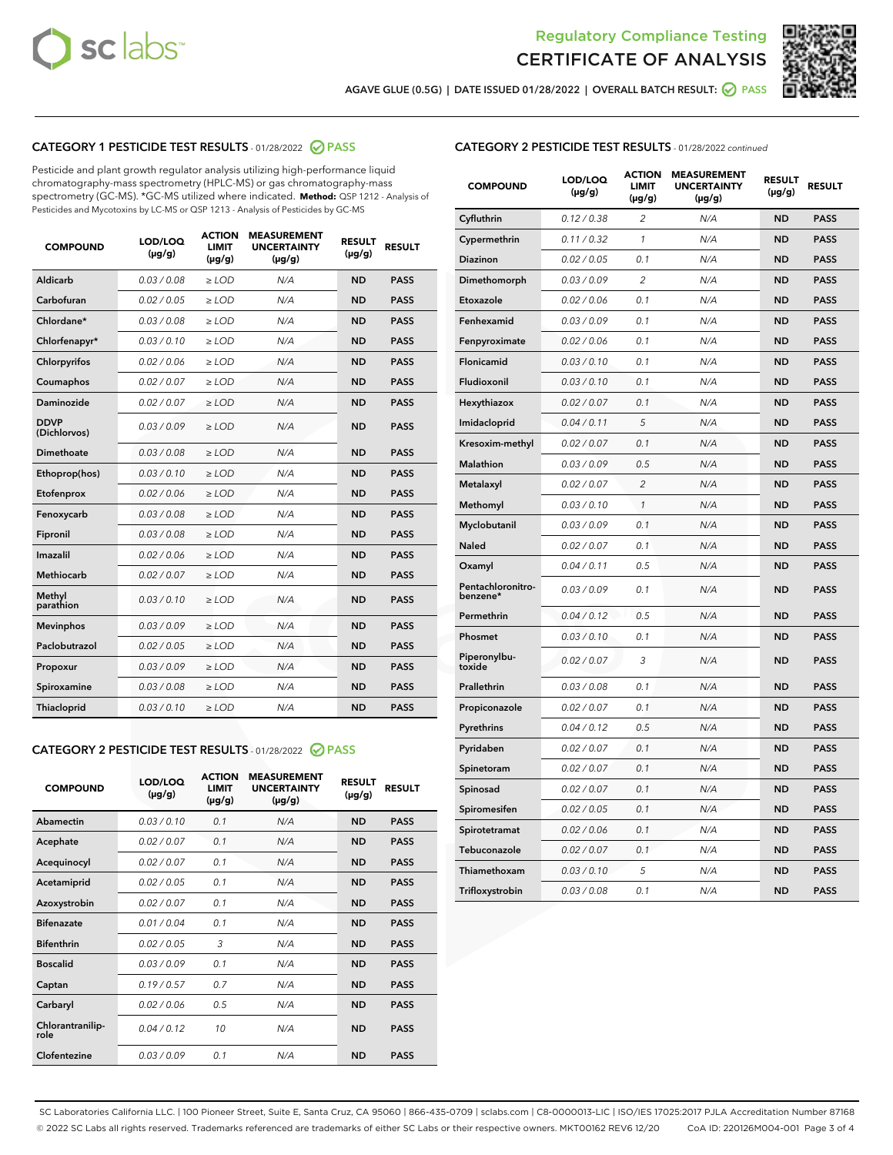



AGAVE GLUE (0.5G) | DATE ISSUED 01/28/2022 | OVERALL BATCH RESULT:  $\bigcirc$  PASS

# CATEGORY 1 PESTICIDE TEST RESULTS - 01/28/2022 2 PASS

Pesticide and plant growth regulator analysis utilizing high-performance liquid chromatography-mass spectrometry (HPLC-MS) or gas chromatography-mass spectrometry (GC-MS). \*GC-MS utilized where indicated. **Method:** QSP 1212 - Analysis of Pesticides and Mycotoxins by LC-MS or QSP 1213 - Analysis of Pesticides by GC-MS

| <b>COMPOUND</b>             | LOD/LOQ<br>$(\mu g/g)$ | <b>ACTION</b><br><b>LIMIT</b><br>$(\mu g/g)$ | <b>MEASUREMENT</b><br><b>UNCERTAINTY</b><br>$(\mu g/g)$ | <b>RESULT</b><br>$(\mu g/g)$ | <b>RESULT</b> |
|-----------------------------|------------------------|----------------------------------------------|---------------------------------------------------------|------------------------------|---------------|
| Aldicarb                    | 0.03/0.08              | $>$ LOD                                      | N/A                                                     | <b>ND</b>                    | <b>PASS</b>   |
| Carbofuran                  | 0.02 / 0.05            | $\ge$ LOD                                    | N/A                                                     | <b>ND</b>                    | <b>PASS</b>   |
| Chlordane*                  | 0.03/0.08              | $>$ LOD                                      | N/A                                                     | <b>ND</b>                    | <b>PASS</b>   |
| Chlorfenapyr*               | 0.03/0.10              | $\ge$ LOD                                    | N/A                                                     | <b>ND</b>                    | <b>PASS</b>   |
| Chlorpyrifos                | 0.02 / 0.06            | $\ge$ LOD                                    | N/A                                                     | <b>ND</b>                    | <b>PASS</b>   |
| Coumaphos                   | 0.02 / 0.07            | $\ge$ LOD                                    | N/A                                                     | <b>ND</b>                    | <b>PASS</b>   |
| Daminozide                  | 0.02 / 0.07            | $\ge$ LOD                                    | N/A                                                     | <b>ND</b>                    | <b>PASS</b>   |
| <b>DDVP</b><br>(Dichlorvos) | 0.03/0.09              | $\ge$ LOD                                    | N/A                                                     | <b>ND</b>                    | <b>PASS</b>   |
| <b>Dimethoate</b>           | 0.03 / 0.08            | $\ge$ LOD                                    | N/A                                                     | <b>ND</b>                    | <b>PASS</b>   |
| Ethoprop(hos)               | 0.03/0.10              | $\ge$ LOD                                    | N/A                                                     | <b>ND</b>                    | <b>PASS</b>   |
| Etofenprox                  | 0.02 / 0.06            | $\ge$ LOD                                    | N/A                                                     | <b>ND</b>                    | <b>PASS</b>   |
| Fenoxycarb                  | 0.03 / 0.08            | $\ge$ LOD                                    | N/A                                                     | <b>ND</b>                    | <b>PASS</b>   |
| Fipronil                    | 0.03/0.08              | $>$ LOD                                      | N/A                                                     | <b>ND</b>                    | <b>PASS</b>   |
| Imazalil                    | 0.02 / 0.06            | $\ge$ LOD                                    | N/A                                                     | <b>ND</b>                    | <b>PASS</b>   |
| <b>Methiocarb</b>           | 0.02 / 0.07            | $\ge$ LOD                                    | N/A                                                     | <b>ND</b>                    | <b>PASS</b>   |
| Methyl<br>parathion         | 0.03/0.10              | $\ge$ LOD                                    | N/A                                                     | <b>ND</b>                    | <b>PASS</b>   |
| <b>Mevinphos</b>            | 0.03/0.09              | $\ge$ LOD                                    | N/A                                                     | <b>ND</b>                    | <b>PASS</b>   |
| Paclobutrazol               | 0.02 / 0.05            | $>$ LOD                                      | N/A                                                     | <b>ND</b>                    | <b>PASS</b>   |
| Propoxur                    | 0.03/0.09              | $\ge$ LOD                                    | N/A                                                     | <b>ND</b>                    | <b>PASS</b>   |
| Spiroxamine                 | 0.03 / 0.08            | $\ge$ LOD                                    | N/A                                                     | <b>ND</b>                    | <b>PASS</b>   |
| Thiacloprid                 | 0.03/0.10              | $\ge$ LOD                                    | N/A                                                     | <b>ND</b>                    | <b>PASS</b>   |

#### CATEGORY 2 PESTICIDE TEST RESULTS - 01/28/2022 2 PASS

| <b>COMPOUND</b>          | LOD/LOO<br>$(\mu g/g)$ | <b>ACTION</b><br>LIMIT<br>$(\mu g/g)$ | <b>MEASUREMENT</b><br><b>UNCERTAINTY</b><br>$(\mu g/g)$ | <b>RESULT</b><br>$(\mu g/g)$ | <b>RESULT</b> |  |
|--------------------------|------------------------|---------------------------------------|---------------------------------------------------------|------------------------------|---------------|--|
| Abamectin                | 0.03/0.10              | 0.1                                   | N/A                                                     | <b>ND</b>                    | <b>PASS</b>   |  |
| Acephate                 | 0.02/0.07              | 0.1                                   | N/A                                                     | <b>ND</b>                    | <b>PASS</b>   |  |
| Acequinocyl              | 0.02/0.07              | 0.1                                   | N/A                                                     | <b>ND</b>                    | <b>PASS</b>   |  |
| Acetamiprid              | 0.02/0.05              | 0.1                                   | N/A                                                     | <b>ND</b>                    | <b>PASS</b>   |  |
| Azoxystrobin             | 0.02/0.07              | 0.1                                   | N/A                                                     | <b>ND</b>                    | <b>PASS</b>   |  |
| <b>Bifenazate</b>        | 0.01 / 0.04            | 0.1                                   | N/A                                                     | <b>ND</b>                    | <b>PASS</b>   |  |
| <b>Bifenthrin</b>        | 0.02/0.05              | 3                                     | N/A                                                     | <b>ND</b>                    | <b>PASS</b>   |  |
| <b>Boscalid</b>          | 0.03/0.09              | 0.1                                   | N/A                                                     | <b>ND</b>                    | <b>PASS</b>   |  |
| Captan                   | 0.19/0.57              | 0.7                                   | N/A                                                     | <b>ND</b>                    | <b>PASS</b>   |  |
| Carbaryl                 | 0.02/0.06              | 0.5                                   | N/A                                                     | <b>ND</b>                    | <b>PASS</b>   |  |
| Chlorantranilip-<br>role | 0.04/0.12              | 10                                    | N/A                                                     | <b>ND</b>                    | <b>PASS</b>   |  |
| Clofentezine             | 0.03/0.09              | 0.1                                   | N/A                                                     | <b>ND</b>                    | <b>PASS</b>   |  |

### CATEGORY 2 PESTICIDE TEST RESULTS - 01/28/2022 continued

| <b>COMPOUND</b>               | LOD/LOQ<br>(µg/g) | <b>ACTION</b><br><b>LIMIT</b><br>$(\mu g/g)$ | <b>MEASUREMENT</b><br><b>UNCERTAINTY</b><br>$(\mu g/g)$ | <b>RESULT</b><br>(µg/g) | <b>RESULT</b> |
|-------------------------------|-------------------|----------------------------------------------|---------------------------------------------------------|-------------------------|---------------|
| Cyfluthrin                    | 0.12 / 0.38       | $\overline{c}$                               | N/A                                                     | <b>ND</b>               | <b>PASS</b>   |
| Cypermethrin                  | 0.11 / 0.32       | 1                                            | N/A                                                     | ND                      | <b>PASS</b>   |
| <b>Diazinon</b>               | 0.02 / 0.05       | 0.1                                          | N/A                                                     | ND                      | <b>PASS</b>   |
| Dimethomorph                  | 0.03 / 0.09       | 2                                            | N/A                                                     | ND                      | <b>PASS</b>   |
| Etoxazole                     | 0.02 / 0.06       | 0.1                                          | N/A                                                     | ND                      | <b>PASS</b>   |
| Fenhexamid                    | 0.03 / 0.09       | 0.1                                          | N/A                                                     | <b>ND</b>               | <b>PASS</b>   |
| Fenpyroximate                 | 0.02 / 0.06       | 0.1                                          | N/A                                                     | <b>ND</b>               | <b>PASS</b>   |
| Flonicamid                    | 0.03 / 0.10       | 0.1                                          | N/A                                                     | ND                      | <b>PASS</b>   |
| Fludioxonil                   | 0.03 / 0.10       | 0.1                                          | N/A                                                     | <b>ND</b>               | <b>PASS</b>   |
| Hexythiazox                   | 0.02 / 0.07       | 0.1                                          | N/A                                                     | <b>ND</b>               | <b>PASS</b>   |
| Imidacloprid                  | 0.04 / 0.11       | 5                                            | N/A                                                     | <b>ND</b>               | <b>PASS</b>   |
| Kresoxim-methyl               | 0.02 / 0.07       | 0.1                                          | N/A                                                     | <b>ND</b>               | <b>PASS</b>   |
| <b>Malathion</b>              | 0.03 / 0.09       | 0.5                                          | N/A                                                     | <b>ND</b>               | <b>PASS</b>   |
| Metalaxyl                     | 0.02 / 0.07       | $\overline{c}$                               | N/A                                                     | ND                      | <b>PASS</b>   |
| Methomyl                      | 0.03 / 0.10       | 1                                            | N/A                                                     | <b>ND</b>               | <b>PASS</b>   |
| Myclobutanil                  | 0.03 / 0.09       | 0.1                                          | N/A                                                     | <b>ND</b>               | <b>PASS</b>   |
| Naled                         | 0.02 / 0.07       | 0.1                                          | N/A                                                     | ND                      | <b>PASS</b>   |
| Oxamyl                        | 0.04 / 0.11       | 0.5                                          | N/A                                                     | ND                      | <b>PASS</b>   |
| Pentachloronitro-<br>benzene* | 0.03 / 0.09       | 0.1                                          | N/A                                                     | ND                      | <b>PASS</b>   |
| Permethrin                    | 0.04 / 0.12       | 0.5                                          | N/A                                                     | <b>ND</b>               | <b>PASS</b>   |
| Phosmet                       | 0.03 / 0.10       | 0.1                                          | N/A                                                     | <b>ND</b>               | <b>PASS</b>   |
| Piperonylbu-<br>toxide        | 0.02 / 0.07       | 3                                            | N/A                                                     | <b>ND</b>               | <b>PASS</b>   |
| Prallethrin                   | 0.03 / 0.08       | 0.1                                          | N/A                                                     | <b>ND</b>               | <b>PASS</b>   |
| Propiconazole                 | 0.02 / 0.07       | 0.1                                          | N/A                                                     | ND                      | <b>PASS</b>   |
| Pyrethrins                    | 0.04 / 0.12       | 0.5                                          | N/A                                                     | ND                      | <b>PASS</b>   |
| Pyridaben                     | 0.02 / 0.07       | 0.1                                          | N/A                                                     | ND                      | <b>PASS</b>   |
| Spinetoram                    | 0.02 / 0.07       | 0.1                                          | N/A                                                     | ND                      | <b>PASS</b>   |
| Spinosad                      | 0.02 / 0.07       | 0.1                                          | N/A                                                     | ND                      | <b>PASS</b>   |
| Spiromesifen                  | 0.02 / 0.05       | 0.1                                          | N/A                                                     | <b>ND</b>               | <b>PASS</b>   |
| Spirotetramat                 | 0.02 / 0.06       | 0.1                                          | N/A                                                     | ND                      | <b>PASS</b>   |
| Tebuconazole                  | 0.02 / 0.07       | 0.1                                          | N/A                                                     | ND                      | <b>PASS</b>   |
| Thiamethoxam                  | 0.03 / 0.10       | 5                                            | N/A                                                     | <b>ND</b>               | <b>PASS</b>   |
| Trifloxystrobin               | 0.03 / 0.08       | 0.1                                          | N/A                                                     | <b>ND</b>               | <b>PASS</b>   |

SC Laboratories California LLC. | 100 Pioneer Street, Suite E, Santa Cruz, CA 95060 | 866-435-0709 | sclabs.com | C8-0000013-LIC | ISO/IES 17025:2017 PJLA Accreditation Number 87168 © 2022 SC Labs all rights reserved. Trademarks referenced are trademarks of either SC Labs or their respective owners. MKT00162 REV6 12/20 CoA ID: 220126M004-001 Page 3 of 4